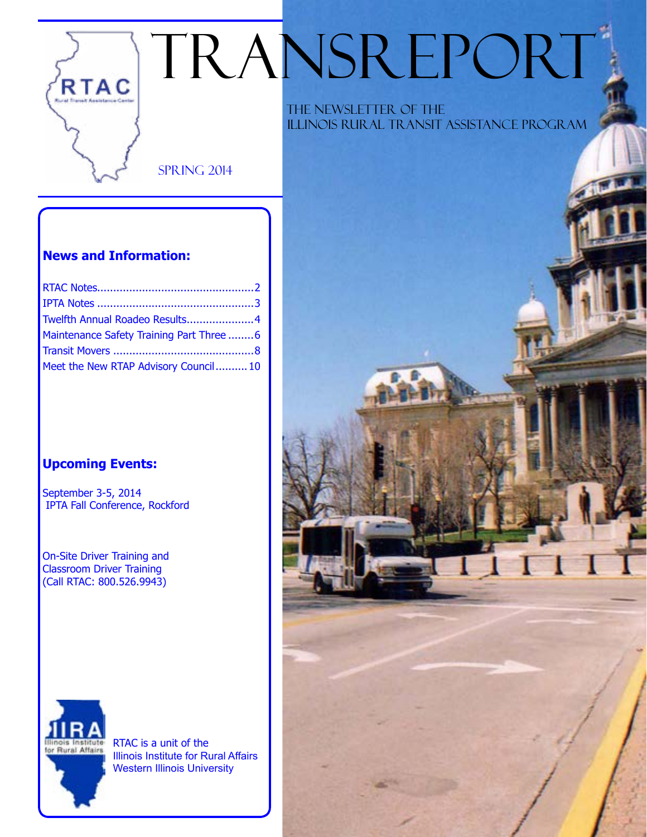# TRANSREPORT

**SPRING 2014** 

## **News and Information:**

RTAC

| Twelfth Annual Roadeo Results4           |  |
|------------------------------------------|--|
| Maintenance Safety Training Part Three 6 |  |
|                                          |  |
| Meet the New RTAP Advisory Council 10    |  |

## **Upcoming Events:**

September 3-5, 2014 IPTA Fall Conference, Rockford

On-Site Driver Training and Classroom Driver Training (Call RTAC: 800.526.9943)



RTAC is a unit of the Illinois Institute for Rural Affairs Western Illinois University

 The Newsletter of the Illinois Rural Transit Assistance Program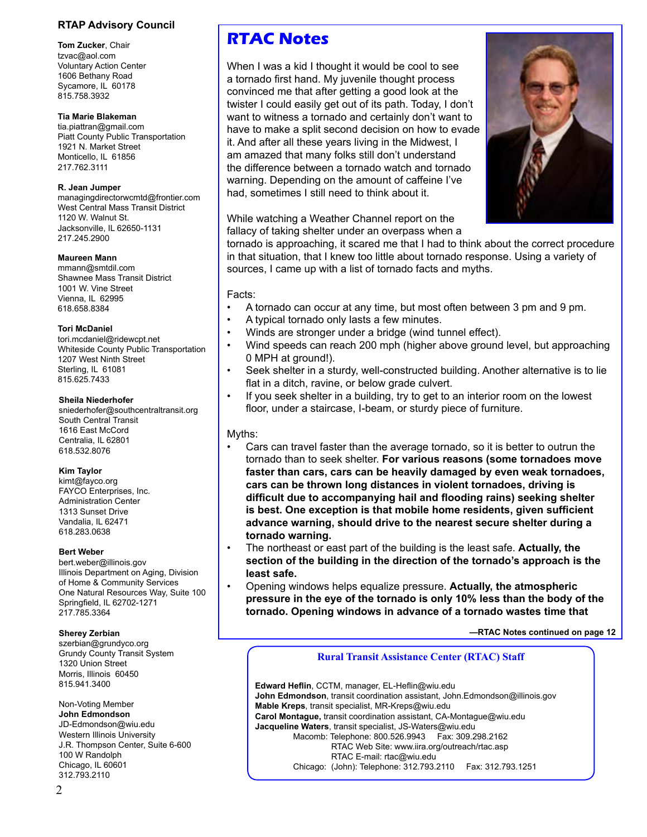#### **RTAP Advisory Council**

**Tom Zucker**, Chair tzvac@aol.com Voluntary Action Center 1606 Bethany Road Sycamore, IL 60178 815.758.3932

#### **Tia Marie Blakeman**

tia.piattran@gmail.com Piatt County Public Transportation 1921 N. Market Street Monticello, IL 61856 217.762.3111

#### **R. Jean Jumper**

managingdirectorwcmtd@frontier.com West Central Mass Transit District 1120 W. Walnut St. Jacksonville, IL 62650-1131 217.245.2900

#### **Maureen Mann**

mmann@smtdil.com Shawnee Mass Transit District 1001 W. Vine Street Vienna, IL 62995 618.658.8384

#### **Tori McDaniel**

tori.mcdaniel@ridewcpt.net Whiteside County Public Transportation 1207 West Ninth Street Sterling, IL 61081 815.625.7433

#### **Sheila Niederhofer**

sniederhofer@southcentraltransit.org South Central Transit 1616 East McCord Centralia, IL 62801 618.532.8076

#### **Kim Taylor**

kimt@fayco.org FAYCO Enterprises, Inc. Administration Center 1313 Sunset Drive Vandalia, IL 62471 618.283.0638

#### **Bert Weber**

bert.weber@illinois.gov Illinois Department on Aging, Division of Home & Community Services One Natural Resources Way, Suite 100 Springfield, IL 62702-1271 217.785.3364

#### **Sherey Zerbian**

szerbian@grundyco.org Grundy County Transit System 1320 Union Street Morris, Illinois, 60450

Western Illinois University J.R. Thompson Center, Suite 6-600 100 W Randolph Chicago, IL 60601 312.793.2110

## **RTAC Notes**

When I was a kid I thought it would be cool to see a tornado first hand. My juvenile thought process convinced me that after getting a good look at the twister I could easily get out of its path. Today, I don't want to witness a tornado and certainly don't want to have to make a split second decision on how to evade it. And after all these years living in the Midwest, I am amazed that many folks still don't understand the difference between a tornado watch and tornado warning. Depending on the amount of caffeine I've had, sometimes I still need to think about it.



While watching a Weather Channel report on the fallacy of taking shelter under an overpass when a

tornado is approaching, it scared me that I had to think about the correct procedure in that situation, that I knew too little about tornado response. Using a variety of sources, I came up with a list of tornado facts and myths.

#### Facts:

- A tornado can occur at any time, but most often between 3 pm and 9 pm.
- A typical tornado only lasts a few minutes.
- Winds are stronger under a bridge (wind tunnel effect).
- Wind speeds can reach 200 mph (higher above ground level, but approaching 0 MPH at ground!).
- Seek shelter in a sturdy, well-constructed building. Another alternative is to lie flat in a ditch, ravine, or below grade culvert.
- If you seek shelter in a building, try to get to an interior room on the lowest floor, under a staircase, I-beam, or sturdy piece of furniture.

#### Myths:

- Cars can travel faster than the average tornado, so it is better to outrun the tornado than to seek shelter. **For various reasons (some tornadoes move faster than cars, cars can be heavily damaged by even weak tornadoes, cars can be thrown long distances in violent tornadoes, driving is difficult due to accompanying hail and flooding rains) seeking shelter is best. One exception is that mobile home residents, given sufficient advance warning, should drive to the nearest secure shelter during a tornado warning.**
- The northeast or east part of the building is the least safe. **Actually, the section of the building in the direction of the tornado's approach is the least safe.**
- Opening windows helps equalize pressure. **Actually, the atmospheric pressure in the eye of the tornado is only 10% less than the body of the tornado. Opening windows in advance of a tornado wastes time that**

**—RTAC Notes continued on page 12**

#### **Rural Transit Assistance Center (RTAC) Staff**

815.941.3400 **Edward Heflin**, CCTM, manager, EL-Heflin@wiu.edu **John Edmondson**, transit coordination assistant, John.Edmondson@illinois.gov Non-Voting Member **Mable Kreps**, transit specialist, MR-Kreps@wiu.edu<br> **John Edmondson** Carol Montague transit coordination assistant CA-**John Edmondson**<br>JD-Edmondson@wiu.edu<br>Jacqueline Waters transit specialist JS-Waters@wiu.edu Jacqueline Waters, transit specialist, JS-Waters@wiu.edu Macomb: Telephone: 800.526.9943 Fax: 309.298.2162 RTAC Web Site: www.iira.org/outreach/rtac.asp RTAC E-mail: rtac@wiu.edu Chicago: (John): Telephone: 312.793.2110 Fax: 312.793.1251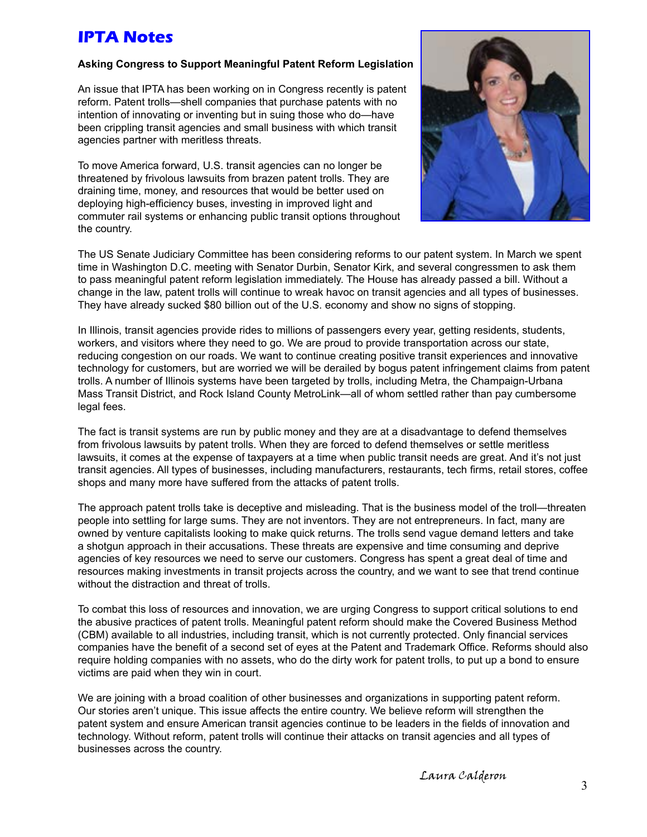## **IPTA Notes**

### **Asking Congress to Support Meaningful Patent Reform Legislation**

An issue that IPTA has been working on in Congress recently is patent reform. Patent trolls—shell companies that purchase patents with no intention of innovating or inventing but in suing those who do—have been crippling transit agencies and small business with which transit agencies partner with meritless threats.

To move America forward, U.S. transit agencies can no longer be threatened by frivolous lawsuits from brazen patent trolls. They are draining time, money, and resources that would be better used on deploying high-efficiency buses, investing in improved light and commuter rail systems or enhancing public transit options throughout the country.



The US Senate Judiciary Committee has been considering reforms to our patent system. In March we spent time in Washington D.C. meeting with Senator Durbin, Senator Kirk, and several congressmen to ask them to pass meaningful patent reform legislation immediately. The House has already passed a bill. Without a change in the law, patent trolls will continue to wreak havoc on transit agencies and all types of businesses. They have already sucked \$80 billion out of the U.S. economy and show no signs of stopping.

In Illinois, transit agencies provide rides to millions of passengers every year, getting residents, students, workers, and visitors where they need to go. We are proud to provide transportation across our state, reducing congestion on our roads. We want to continue creating positive transit experiences and innovative technology for customers, but are worried we will be derailed by bogus patent infringement claims from patent trolls. A number of Illinois systems have been targeted by trolls, including Metra, the Champaign-Urbana Mass Transit District, and Rock Island County MetroLink—all of whom settled rather than pay cumbersome legal fees.

The fact is transit systems are run by public money and they are at a disadvantage to defend themselves from frivolous lawsuits by patent trolls. When they are forced to defend themselves or settle meritless lawsuits, it comes at the expense of taxpayers at a time when public transit needs are great. And it's not just transit agencies. All types of businesses, including manufacturers, restaurants, tech firms, retail stores, coffee shops and many more have suffered from the attacks of patent trolls.

The approach patent trolls take is deceptive and misleading. That is the business model of the troll—threaten people into settling for large sums. They are not inventors. They are not entrepreneurs. In fact, many are owned by venture capitalists looking to make quick returns. The trolls send vague demand letters and take a shotgun approach in their accusations. These threats are expensive and time consuming and deprive agencies of key resources we need to serve our customers. Congress has spent a great deal of time and resources making investments in transit projects across the country, and we want to see that trend continue without the distraction and threat of trolls.

To combat this loss of resources and innovation, we are urging Congress to support critical solutions to end the abusive practices of patent trolls. Meaningful patent reform should make the Covered Business Method (CBM) available to all industries, including transit, which is not currently protected. Only financial services companies have the benefit of a second set of eyes at the Patent and Trademark Office. Reforms should also require holding companies with no assets, who do the dirty work for patent trolls, to put up a bond to ensure victims are paid when they win in court.

We are joining with a broad coalition of other businesses and organizations in supporting patent reform. Our stories aren't unique. This issue affects the entire country. We believe reform will strengthen the patent system and ensure American transit agencies continue to be leaders in the fields of innovation and technology. Without reform, patent trolls will continue their attacks on transit agencies and all types of businesses across the country.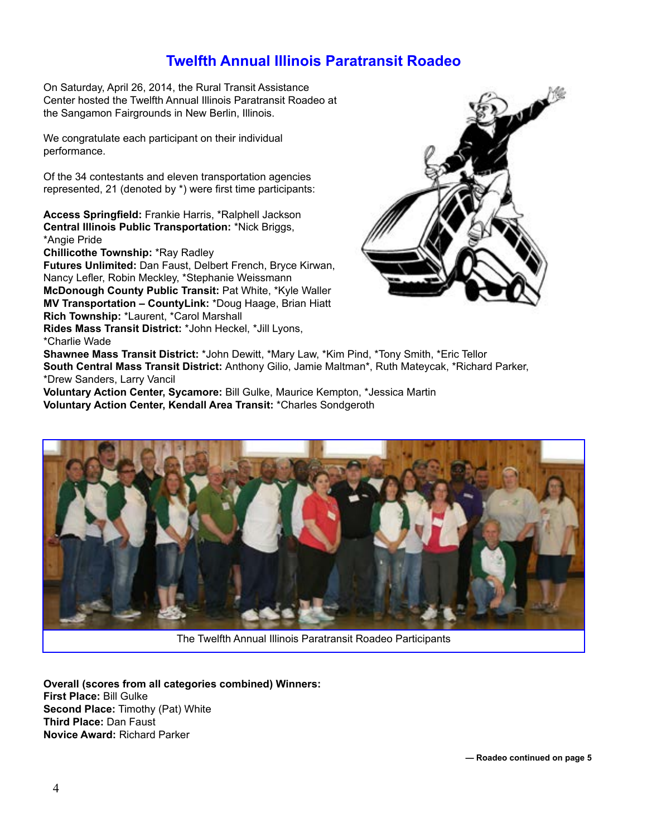## **Twelfth Annual Illinois Paratransit Roadeo**

On Saturday, April 26, 2014, the Rural Transit Assistance Center hosted the Twelfth Annual Illinois Paratransit Roadeo at the Sangamon Fairgrounds in New Berlin, Illinois.

We congratulate each participant on their individual performance.

Of the 34 contestants and eleven transportation agencies represented, 21 (denoted by \*) were first time participants:

**Access Springfield:** Frankie Harris, \*Ralphell Jackson **Central Illinois Public Transportation:** \*Nick Briggs, \*Angie Pride

**Chillicothe Township:** \*Ray Radley

**Futures Unlimited:** Dan Faust, Delbert French, Bryce Kirwan, Nancy Lefler, Robin Meckley, \*Stephanie Weissmann **McDonough County Public Transit:** Pat White, \*Kyle Waller **MV Transportation – CountyLink:** \*Doug Haage, Brian Hiatt **Rich Township:** \*Laurent, \*Carol Marshall

**Rides Mass Transit District:** \*John Heckel, \*Jill Lyons, \*Charlie Wade



**Shawnee Mass Transit District:** \*John Dewitt, \*Mary Law, \*Kim Pind, \*Tony Smith, \*Eric Tellor **South Central Mass Transit District:** Anthony Gilio, Jamie Maltman\*, Ruth Mateycak, \*Richard Parker, \*Drew Sanders, Larry Vancil

**Voluntary Action Center, Sycamore:** Bill Gulke, Maurice Kempton, \*Jessica Martin **Voluntary Action Center, Kendall Area Transit:** \*Charles Sondgeroth



The Twelfth Annual Illinois Paratransit Roadeo Participants

**Overall (scores from all categories combined) Winners: First Place:** Bill Gulke **Second Place:** Timothy (Pat) White **Third Place:** Dan Faust **Novice Award:** Richard Parker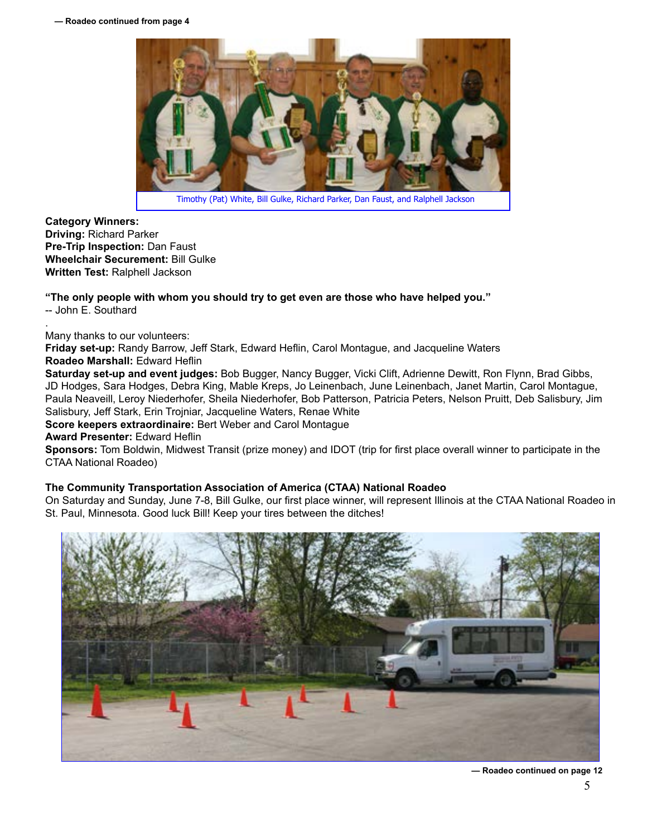

Timothy (Pat) White, Bill Gulke, Richard Parker, Dan Faust, and Ralphell Jackson

**Category Winners: Driving:** Richard Parker **Pre-Trip Inspection:** Dan Faust **Wheelchair Securement:** Bill Gulke **Written Test:** Ralphell Jackson

**"The only people with whom you should try to get even are those who have helped you."** -- John E. Southard

. Many thanks to our volunteers:

**Friday set-up:** Randy Barrow, Jeff Stark, Edward Heflin, Carol Montague, and Jacqueline Waters **Roadeo Marshall:** Edward Heflin

**Saturday set-up and event judges:** Bob Bugger, Nancy Bugger, Vicki Clift, Adrienne Dewitt, Ron Flynn, Brad Gibbs, JD Hodges, Sara Hodges, Debra King, Mable Kreps, Jo Leinenbach, June Leinenbach, Janet Martin, Carol Montague, Paula Neaveill, Leroy Niederhofer, Sheila Niederhofer, Bob Patterson, Patricia Peters, Nelson Pruitt, Deb Salisbury, Jim Salisbury, Jeff Stark, Erin Trojniar, Jacqueline Waters, Renae White

**Score keepers extraordinaire:** Bert Weber and Carol Montague

**Award Presenter:** Edward Heflin

**Sponsors:** Tom Boldwin, Midwest Transit (prize money) and IDOT (trip for first place overall winner to participate in the CTAA National Roadeo)

#### **The Community Transportation Association of America (CTAA) National Roadeo**

On Saturday and Sunday, June 7-8, Bill Gulke, our first place winner, will represent Illinois at the CTAA National Roadeo in St. Paul, Minnesota. Good luck Bill! Keep your tires between the ditches!



**— Roadeo continued on page 12**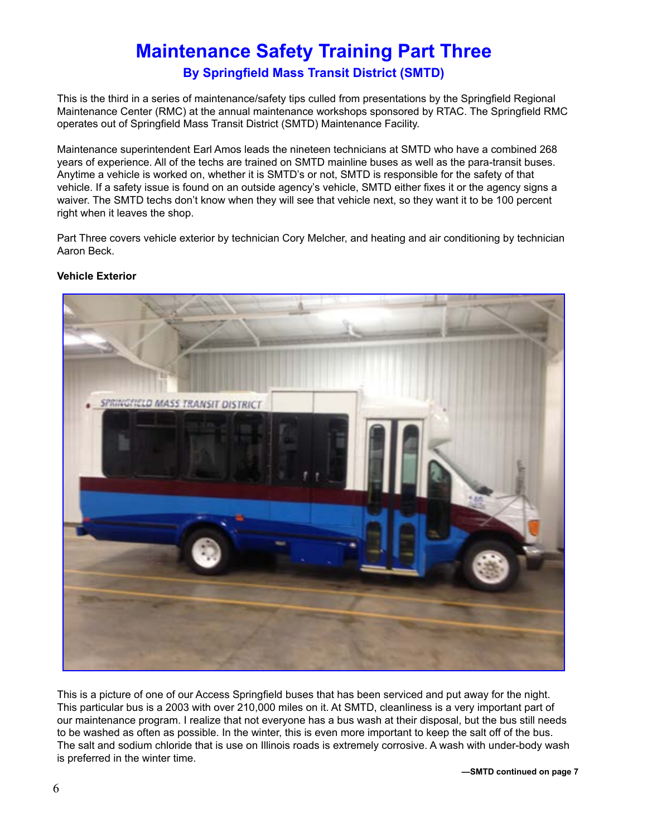## **Maintenance Safety Training Part Three By Springfield Mass Transit District (SMTD)**

This is the third in a series of maintenance/safety tips culled from presentations by the Springfield Regional Maintenance Center (RMC) at the annual maintenance workshops sponsored by RTAC. The Springfield RMC operates out of Springfield Mass Transit District (SMTD) Maintenance Facility.

Maintenance superintendent Earl Amos leads the nineteen technicians at SMTD who have a combined 268 years of experience. All of the techs are trained on SMTD mainline buses as well as the para-transit buses. Anytime a vehicle is worked on, whether it is SMTD's or not, SMTD is responsible for the safety of that vehicle. If a safety issue is found on an outside agency's vehicle, SMTD either fixes it or the agency signs a waiver. The SMTD techs don't know when they will see that vehicle next, so they want it to be 100 percent right when it leaves the shop.

Part Three covers vehicle exterior by technician Cory Melcher, and heating and air conditioning by technician Aaron Beck.



### **Vehicle Exterior**

This is a picture of one of our Access Springfield buses that has been serviced and put away for the night. This particular bus is a 2003 with over 210,000 miles on it. At SMTD, cleanliness is a very important part of our maintenance program. I realize that not everyone has a bus wash at their disposal, but the bus still needs to be washed as often as possible. In the winter, this is even more important to keep the salt off of the bus. The salt and sodium chloride that is use on Illinois roads is extremely corrosive. A wash with under-body wash is preferred in the winter time.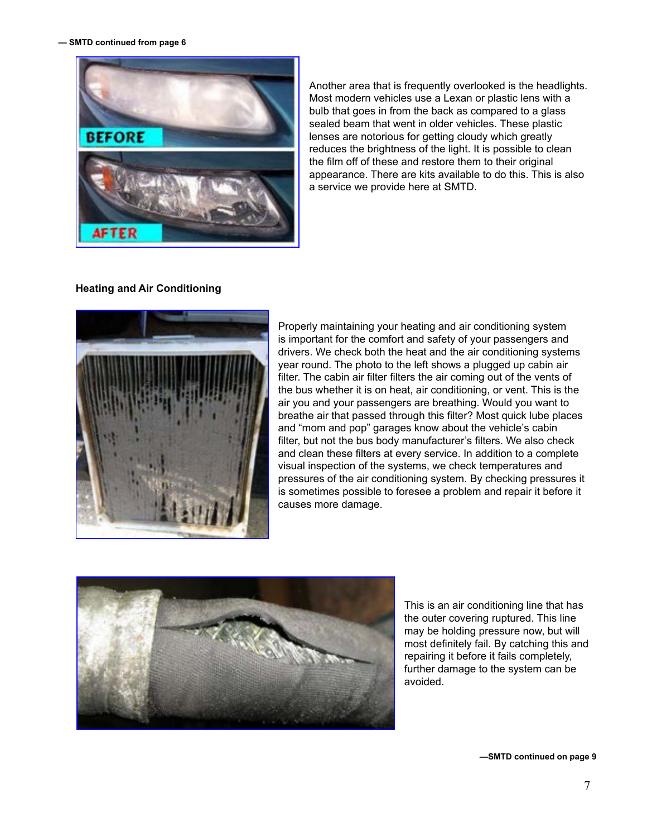**— SMTD continued from page 6**



Another area that is frequently overlooked is the headlights. Most modern vehicles use a Lexan or plastic lens with a bulb that goes in from the back as compared to a glass sealed beam that went in older vehicles. These plastic lenses are notorious for getting cloudy which greatly reduces the brightness of the light. It is possible to clean the film off of these and restore them to their original appearance. There are kits available to do this. This is also a service we provide here at SMTD.

#### **Heating and Air Conditioning**



Properly maintaining your heating and air conditioning system is important for the comfort and safety of your passengers and drivers. We check both the heat and the air conditioning systems year round. The photo to the left shows a plugged up cabin air filter. The cabin air filter filters the air coming out of the vents of the bus whether it is on heat, air conditioning, or vent. This is the air you and your passengers are breathing. Would you want to breathe air that passed through this filter? Most quick lube places and "mom and pop" garages know about the vehicle's cabin filter, but not the bus body manufacturer's filters. We also check and clean these filters at every service. In addition to a complete visual inspection of the systems, we check temperatures and pressures of the air conditioning system. By checking pressures it is sometimes possible to foresee a problem and repair it before it causes more damage.



This is an air conditioning line that has the outer covering ruptured. This line may be holding pressure now, but will most definitely fail. By catching this and repairing it before it fails completely, further damage to the system can be avoided.

**—SMTD continued on page 9**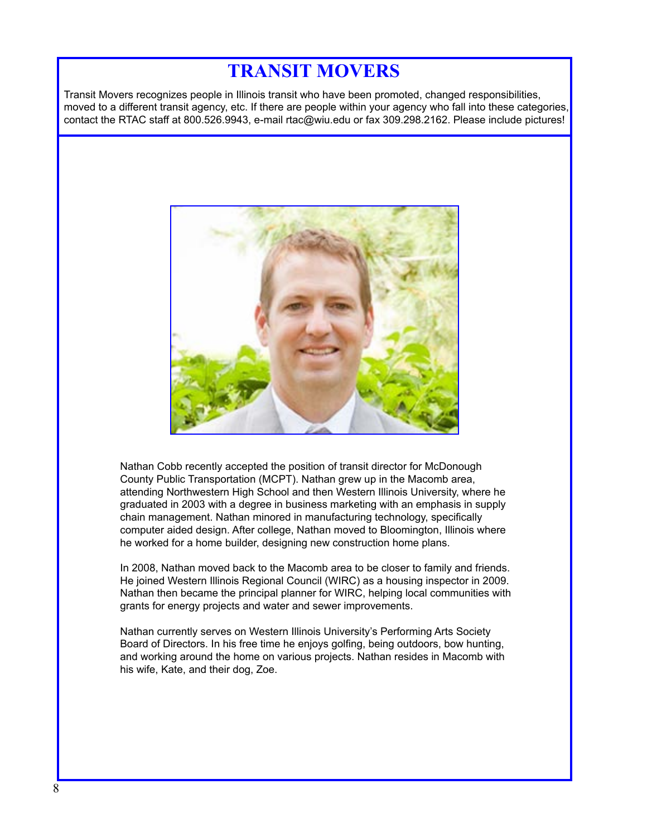## **TRANSIT MOVERS**

Transit Movers recognizes people in Illinois transit who have been promoted, changed responsibilities, moved to a different transit agency, etc. If there are people within your agency who fall into these categories, contact the RTAC staff at 800.526.9943, e-mail rtac@wiu.edu or fax 309.298.2162. Please include pictures!



Nathan Cobb recently accepted the position of transit director for McDonough County Public Transportation (MCPT). Nathan grew up in the Macomb area, attending Northwestern High School and then Western Illinois University, where he graduated in 2003 with a degree in business marketing with an emphasis in supply chain management. Nathan minored in manufacturing technology, specifically computer aided design. After college, Nathan moved to Bloomington, Illinois where he worked for a home builder, designing new construction home plans.

In 2008, Nathan moved back to the Macomb area to be closer to family and friends. He joined Western Illinois Regional Council (WIRC) as a housing inspector in 2009. Nathan then became the principal planner for WIRC, helping local communities with grants for energy projects and water and sewer improvements.

Nathan currently serves on Western Illinois University's Performing Arts Society Board of Directors. In his free time he enjoys golfing, being outdoors, bow hunting, and working around the home on various projects. Nathan resides in Macomb with his wife, Kate, and their dog, Zoe.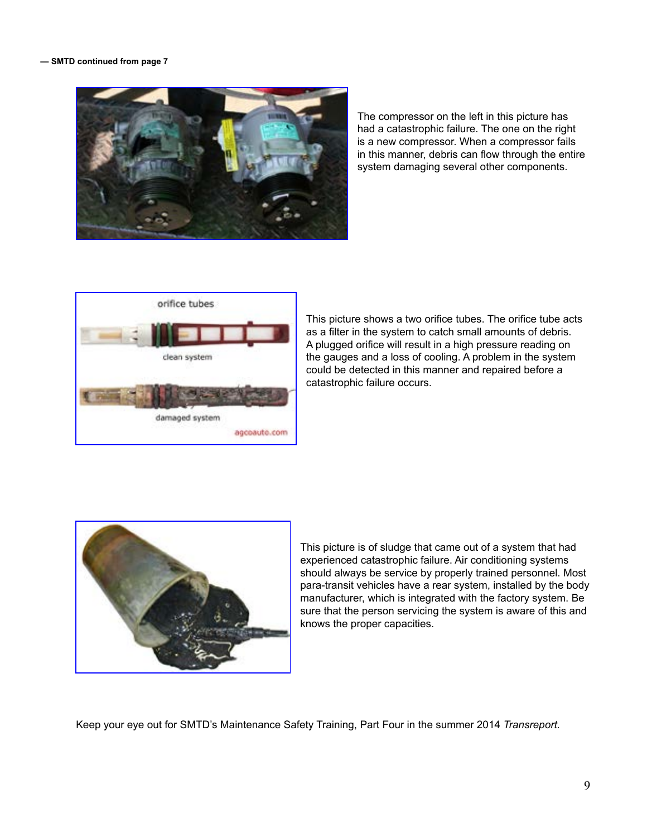#### **— SMTD continued from page 7**



The compressor on the left in this picture has had a catastrophic failure. The one on the right is a new compressor. When a compressor fails in this manner, debris can flow through the entire system damaging several other components.



This picture shows a two orifice tubes. The orifice tube acts as a filter in the system to catch small amounts of debris. A plugged orifice will result in a high pressure reading on the gauges and a loss of cooling. A problem in the system could be detected in this manner and repaired before a catastrophic failure occurs.



This picture is of sludge that came out of a system that had experienced catastrophic failure. Air conditioning systems should always be service by properly trained personnel. Most para-transit vehicles have a rear system, installed by the body manufacturer, which is integrated with the factory system. Be sure that the person servicing the system is aware of this and knows the proper capacities.

Keep your eye out for SMTD's Maintenance Safety Training, Part Four in the summer 2014 *Transreport.*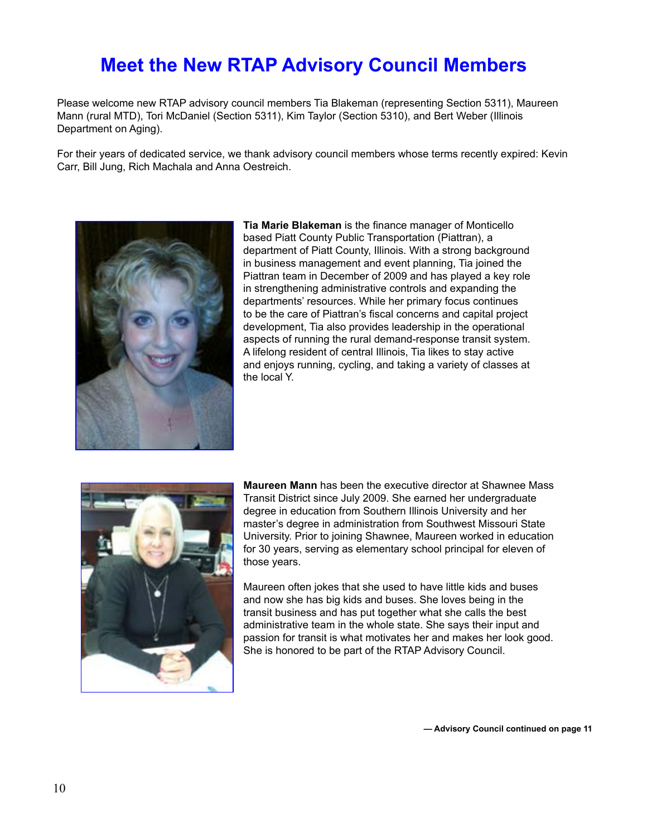## **Meet the New RTAP Advisory Council Members**

Please welcome new RTAP advisory council members Tia Blakeman (representing Section 5311), Maureen Mann (rural MTD), Tori McDaniel (Section 5311), Kim Taylor (Section 5310), and Bert Weber (Illinois Department on Aging).

For their years of dedicated service, we thank advisory council members whose terms recently expired: Kevin Carr, Bill Jung, Rich Machala and Anna Oestreich.



**Tia Marie Blakeman** is the finance manager of Monticello based Piatt County Public Transportation (Piattran), a department of Piatt County, Illinois. With a strong background in business management and event planning, Tia joined the Piattran team in December of 2009 and has played a key role in strengthening administrative controls and expanding the departments' resources. While her primary focus continues to be the care of Piattran's fiscal concerns and capital project development, Tia also provides leadership in the operational aspects of running the rural demand-response transit system. A lifelong resident of central Illinois, Tia likes to stay active and enjoys running, cycling, and taking a variety of classes at the local Y.



**Maureen Mann** has been the executive director at Shawnee Mass Transit District since July 2009. She earned her undergraduate degree in education from Southern Illinois University and her master's degree in administration from Southwest Missouri State University. Prior to joining Shawnee, Maureen worked in education for 30 years, serving as elementary school principal for eleven of those years.

Maureen often jokes that she used to have little kids and buses and now she has big kids and buses. She loves being in the transit business and has put together what she calls the best administrative team in the whole state. She says their input and passion for transit is what motivates her and makes her look good. She is honored to be part of the RTAP Advisory Council.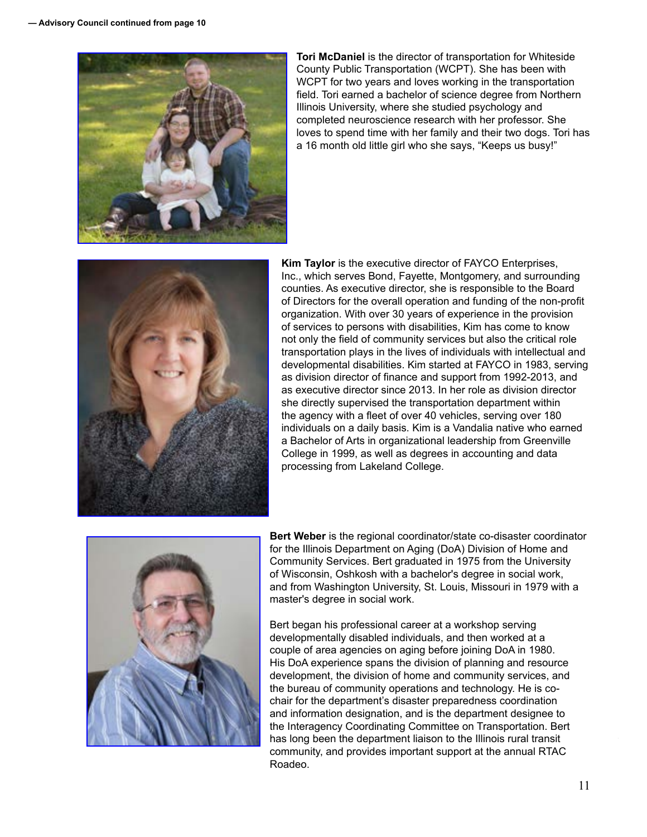

**Tori McDaniel** is the director of transportation for Whiteside County Public Transportation (WCPT). She has been with WCPT for two years and loves working in the transportation field. Tori earned a bachelor of science degree from Northern Illinois University, where she studied psychology and completed neuroscience research with her professor. She loves to spend time with her family and their two dogs. Tori has a 16 month old little girl who she says, "Keeps us busy!"



**Kim Taylor** is the executive director of FAYCO Enterprises, Inc., which serves Bond, Fayette, Montgomery, and surrounding counties. As executive director, she is responsible to the Board of Directors for the overall operation and funding of the non-profit organization. With over 30 years of experience in the provision of services to persons with disabilities, Kim has come to know not only the field of community services but also the critical role transportation plays in the lives of individuals with intellectual and developmental disabilities. Kim started at FAYCO in 1983, serving as division director of finance and support from 1992-2013, and as executive director since 2013. In her role as division director she directly supervised the transportation department within the agency with a fleet of over 40 vehicles, serving over 180 individuals on a daily basis. Kim is a Vandalia native who earned a Bachelor of Arts in organizational leadership from Greenville College in 1999, as well as degrees in accounting and data processing from Lakeland College.



**Bert Weber** is the regional coordinator/state co-disaster coordinator for the Illinois Department on Aging (DoA) Division of Home and Community Services. Bert graduated in 1975 from the University of Wisconsin, Oshkosh with a bachelor's degree in social work, and from Washington University, St. Louis, Missouri in 1979 with a master's degree in social work.

Bert began his professional career at a workshop serving developmentally disabled individuals, and then worked at a couple of area agencies on aging before joining DoA in 1980. His DoA experience spans the division of planning and resource development, the division of home and community services, and the bureau of community operations and technology. He is cochair for the department's disaster preparedness coordination and information designation, and is the department designee to the Interagency Coordinating Committee on Transportation. Bert has long been the department liaison to the Illinois rural transit community, and provides important support at the annual RTAC Roadeo.